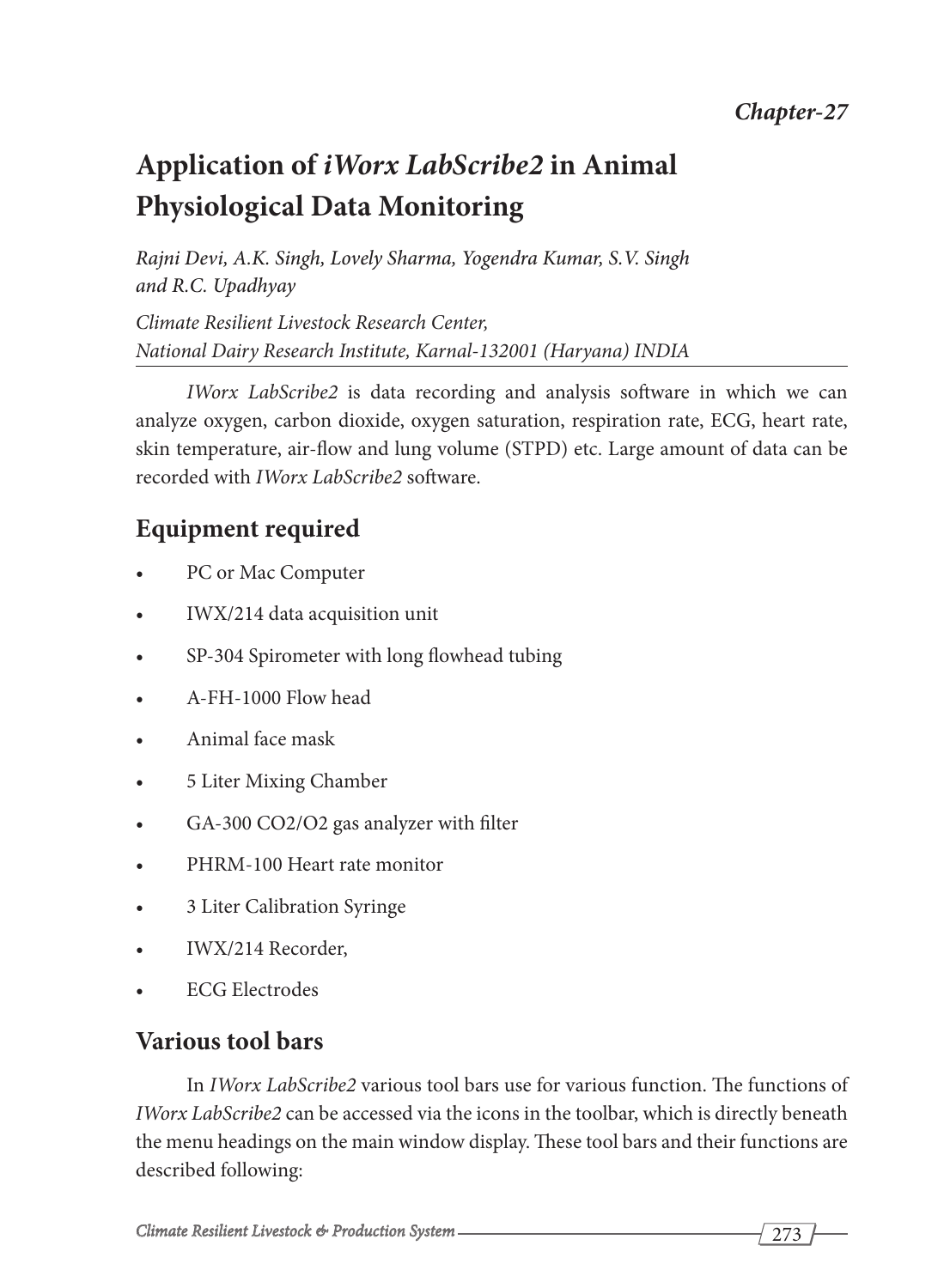# **Application of** *iWorx LabScribe2* **in Animal Physiological Data Monitoring**

*Rajni Devi, A.K. Singh, Lovely Sharma, Yogendra Kumar, S.V. Singh and R.C. Upadhyay Climate Resilient Livestock Research Center, National Dairy Research Institute, Karnal-132001 (Haryana) INDIA*

*IWorx LabScribe2* is data recording and analysis software in which we can analyze oxygen, carbon dioxide, oxygen saturation, respiration rate, ECG, heart rate, skin temperature, air-flow and lung volume (STPD) etc. Large amount of data can be recorded with *IWorx LabScribe2* software.

## **Equipment required**

- PC or Mac Computer
- IWX/214 data acquisition unit
- SP-304 Spirometer with long flowhead tubing
- A-FH-1000 Flow head
- Animal face mask
- 5 Liter Mixing Chamber
- GA-300 CO2/O2 gas analyzer with filter
- PHRM-100 Heart rate monitor
- 3 Liter Calibration Syringe
- IWX/214 Recorder,
- **ECG Electrodes**

### **Various tool bars**

In *IWorx LabScribe2* various tool bars use for various function. The functions of *IWorx LabScribe2* can be accessed via the icons in the toolbar, which is directly beneath the menu headings on the main window display. These tool bars and their functions are described following: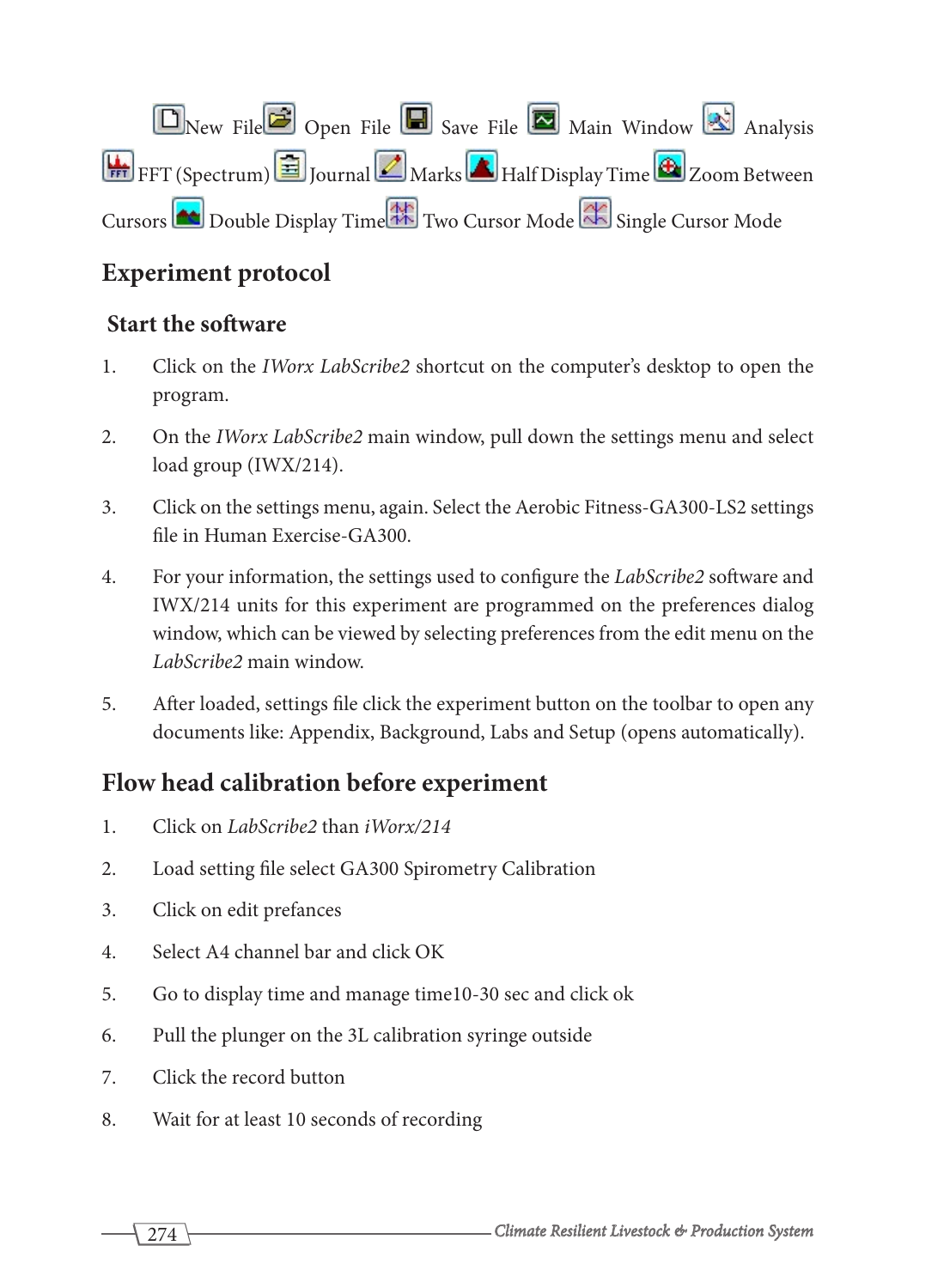New File Open File Save File Main Window Analysis **Half** PFT (Spectrum) **Fig. 1** Journal **Marks** Half Display Time **C** Zoom Between Cursors **Cursors** Double Display Time Two Cursor Mode Single Cursor Mode

## **Experiment protocol**

#### **Start the software**

- 1. Click on the *IWorx LabScribe2* shortcut on the computer's desktop to open the program.
- 2. On the *IWorx LabScribe2* main window, pull down the settings menu and select load group (IWX/214).
- 3. Click on the settings menu, again. Select the Aerobic Fitness-GA300-LS2 settings file in Human Exercise-GA300.
- 4. For your information, the settings used to configure the *LabScribe2* software and IWX/214 units for this experiment are programmed on the preferences dialog window, which can be viewed by selecting preferences from the edit menu on the *LabScribe2* main window.
- 5. After loaded, settings file click the experiment button on the toolbar to open any documents like: Appendix, Background, Labs and Setup (opens automatically).

## **Flow head calibration before experiment**

- 1. Click on *LabScribe2* than *iWorx/214*
- 2. Load setting file select GA300 Spirometry Calibration
- 3. Click on edit prefances
- 4. Select A4 channel bar and click OK
- 5. Go to display time and manage time10-30 sec and click ok
- 6. Pull the plunger on the 3L calibration syringe outside
- 7. Click the record button
- 8. Wait for at least 10 seconds of recording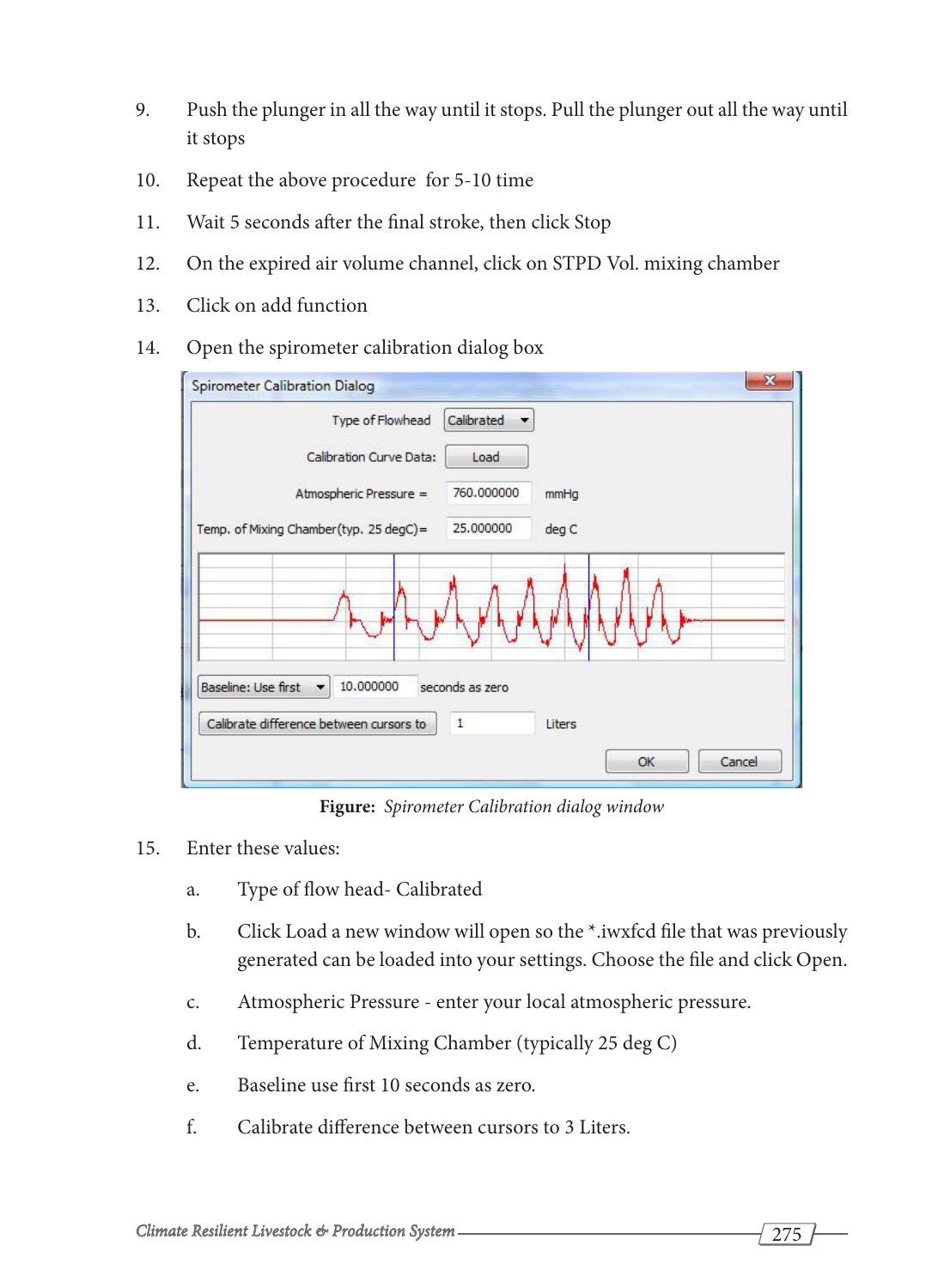- 9. Push the plunger in all the way until it stops. Pull the plunger out all the way until it stops
- 10. Repeat the above procedure for 5-10 time
- 11. Wait 5 seconds after the final stroke, then click Stop
- 12. On the expired air volume channel, click on STPD Vol. mixing chamber
- 13. Click on add function
- 14. Open the spirometer calibration dialog box



**Figure:** *Spirometer Calibration dialog window*

- 15. Enter these values:
	- a. Type of flow head- Calibrated
	- b. Click Load a new window will open so the \*.iwxfcd file that was previously generated can be loaded into your settings. Choose the file and click Open.
	- c. Atmospheric Pressure enter your local atmospheric pressure.
	- d. Temperature of Mixing Chamber (typically 25 deg C)
	- e. Baseline use first 10 seconds as zero.
	- f. Calibrate difference between cursors to 3 Liters.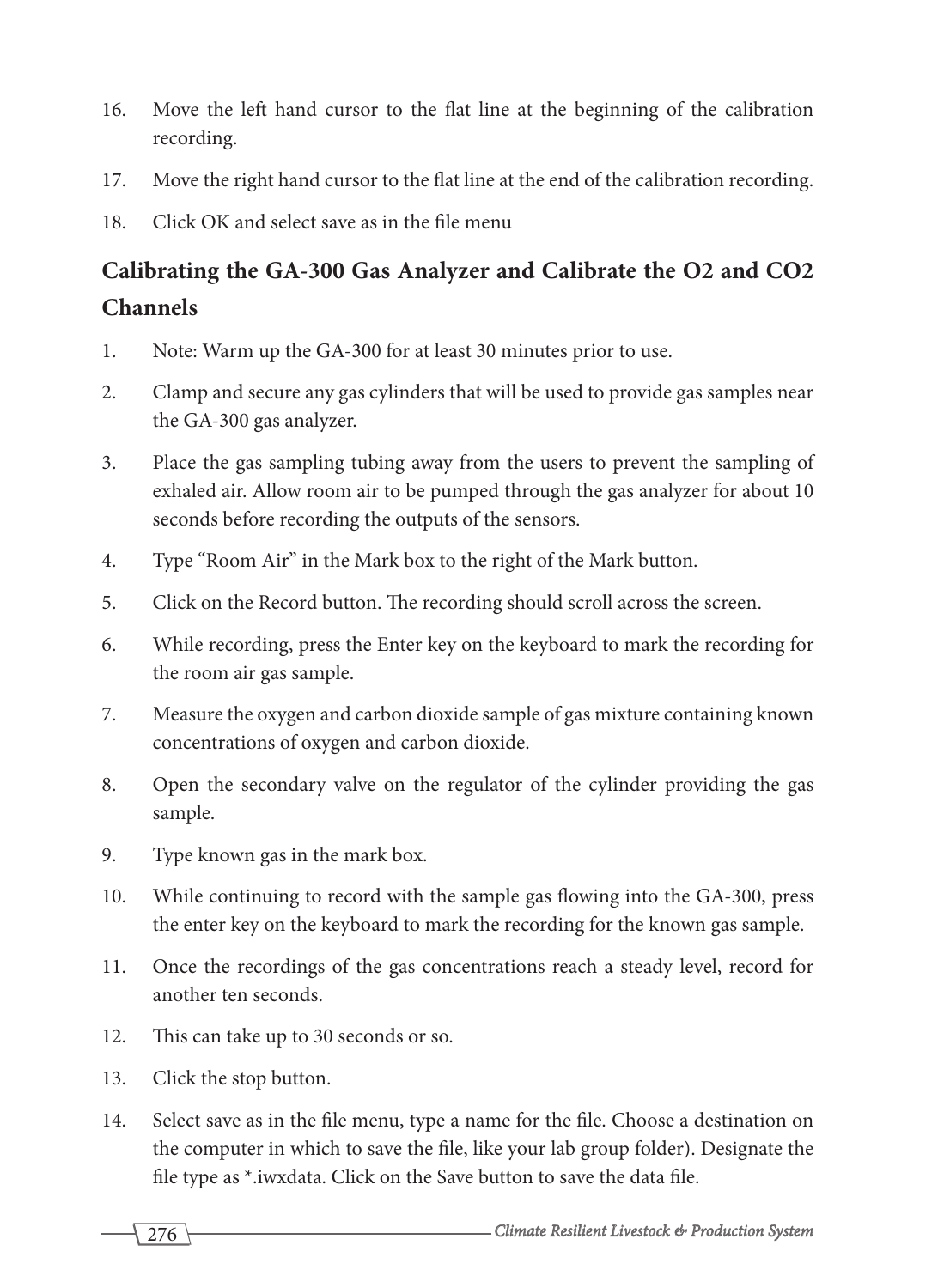- 16. Move the left hand cursor to the flat line at the beginning of the calibration recording.
- 17. Move the right hand cursor to the flat line at the end of the calibration recording.
- 18. Click OK and select save as in the file menu

## **Calibrating the GA-300 Gas Analyzer and Calibrate the O2 and CO2 Channels**

- 1. Note: Warm up the GA-300 for at least 30 minutes prior to use.
- 2. Clamp and secure any gas cylinders that will be used to provide gas samples near the GA-300 gas analyzer.
- 3. Place the gas sampling tubing away from the users to prevent the sampling of exhaled air. Allow room air to be pumped through the gas analyzer for about 10 seconds before recording the outputs of the sensors.
- 4. Type "Room Air" in the Mark box to the right of the Mark button.
- 5. Click on the Record button. The recording should scroll across the screen.
- 6. While recording, press the Enter key on the keyboard to mark the recording for the room air gas sample.
- 7. Measure the oxygen and carbon dioxide sample of gas mixture containing known concentrations of oxygen and carbon dioxide.
- 8. Open the secondary valve on the regulator of the cylinder providing the gas sample.
- 9. Type known gas in the mark box.
- 10. While continuing to record with the sample gas flowing into the GA-300, press the enter key on the keyboard to mark the recording for the known gas sample.
- 11. Once the recordings of the gas concentrations reach a steady level, record for another ten seconds.
- 12. This can take up to 30 seconds or so.
- 13. Click the stop button.
- 14. Select save as in the file menu, type a name for the file. Choose a destination on the computer in which to save the file, like your lab group folder). Designate the file type as \*.iwxdata. Click on the Save button to save the data file.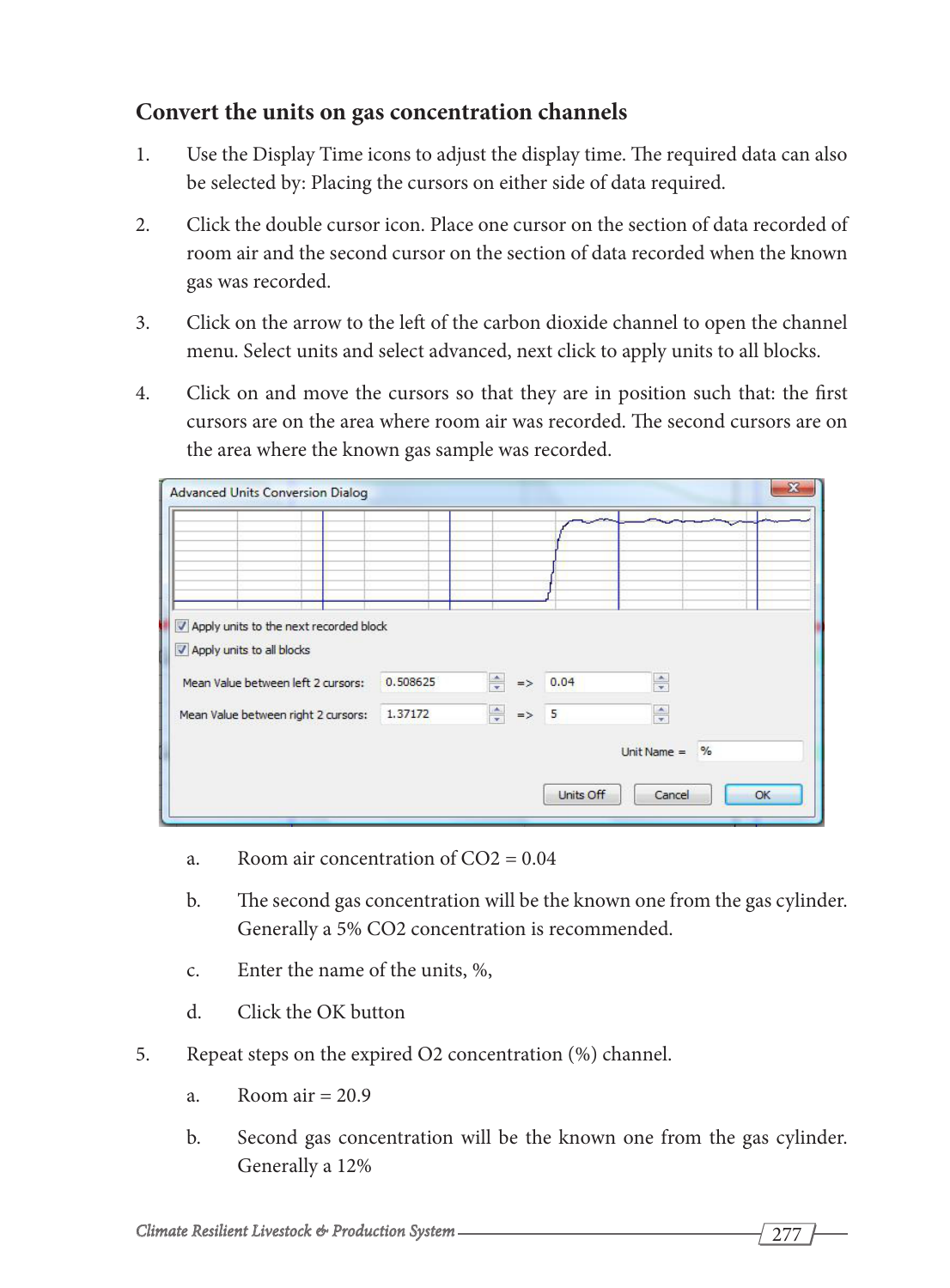#### **Convert the units on gas concentration channels**

- 1. Use the Display Time icons to adjust the display time. The required data can also be selected by: Placing the cursors on either side of data required.
- 2. Click the double cursor icon. Place one cursor on the section of data recorded of room air and the second cursor on the section of data recorded when the known gas was recorded.
- 3. Click on the arrow to the left of the carbon dioxide channel to open the channel menu. Select units and select advanced, next click to apply units to all blocks.
- 4. Click on and move the cursors so that they are in position such that: the first cursors are on the area where room air was recorded. The second cursors are on the area where the known gas sample was recorded.

| 0.508625 | $\Rightarrow$<br>$\Rightarrow$                                                |           | $\frac{\triangle}{\tau}$   |               |
|----------|-------------------------------------------------------------------------------|-----------|----------------------------|---------------|
| 1.37172  |                                                                               |           | $\frac{1}{x}$              |               |
|          |                                                                               |           |                            | $\frac{9}{6}$ |
|          |                                                                               | Units Off | Cancel                     | OK            |
|          | Apply units to the next recorded block<br>Mean Value between right 2 cursors: |           | 0.04<br>$\frac{4}{x}$ => 5 | Unit Name $=$ |

- a. Room air concentration of  $CO2 = 0.04$
- b. The second gas concentration will be the known one from the gas cylinder. Generally a 5% CO2 concentration is recommended.
- c. Enter the name of the units, %,
- d. Click the OK button
- 5. Repeat steps on the expired O2 concentration (%) channel.
	- a. Room air  $= 20.9$
	- b. Second gas concentration will be the known one from the gas cylinder. Generally a 12%

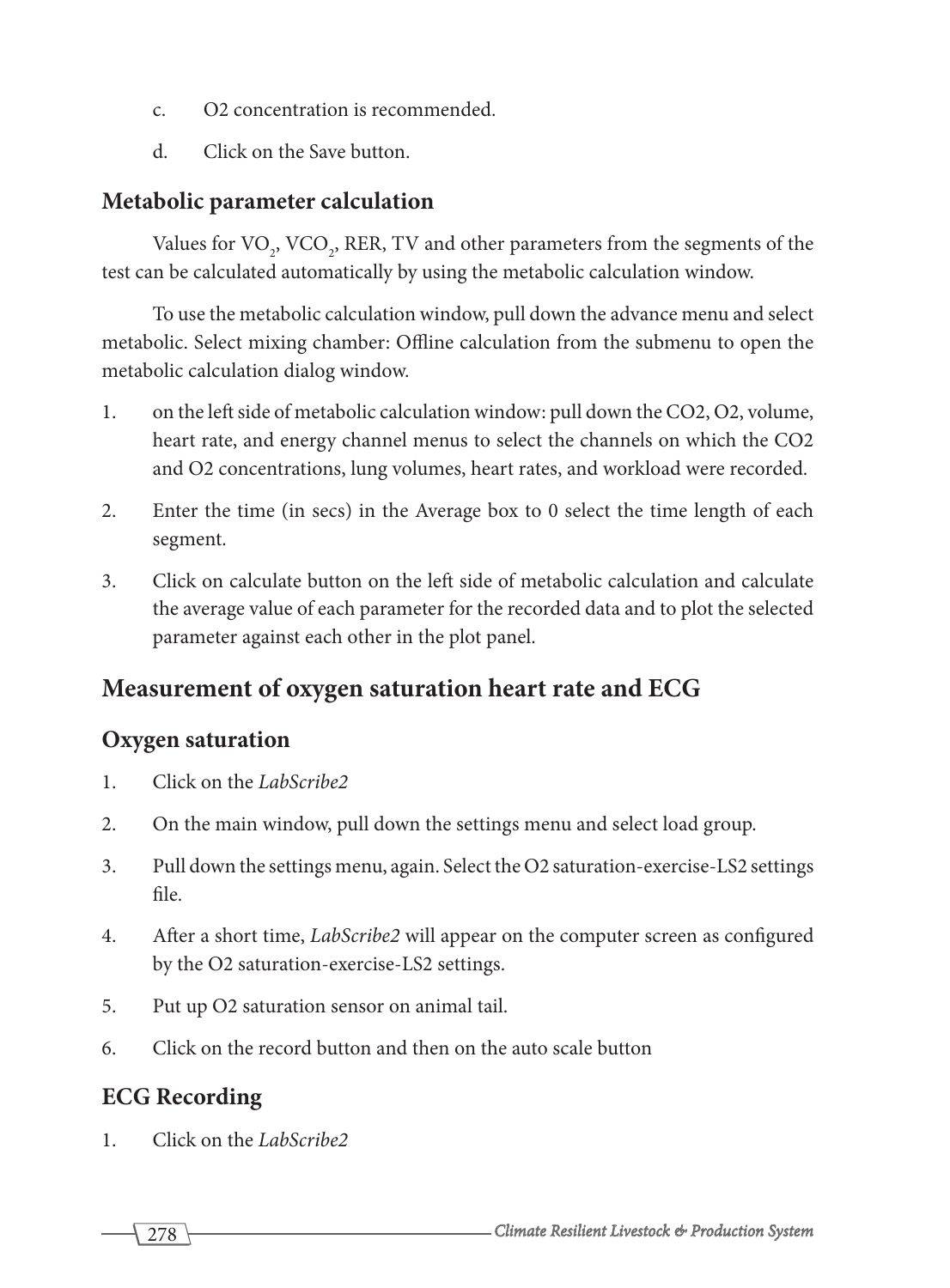- c. O2 concentration is recommended.
- d. Click on the Save button.

#### **Metabolic parameter calculation**

Values for  $\text{VO}_2$ ,  $\text{VCO}_2$ , RER, TV and other parameters from the segments of the test can be calculated automatically by using the metabolic calculation window.

To use the metabolic calculation window, pull down the advance menu and select metabolic. Select mixing chamber: Offline calculation from the submenu to open the metabolic calculation dialog window.

- 1. on the left side of metabolic calculation window: pull down the CO2, O2, volume, heart rate, and energy channel menus to select the channels on which the CO2 and O2 concentrations, lung volumes, heart rates, and workload were recorded.
- 2. Enter the time (in secs) in the Average box to 0 select the time length of each segment.
- 3. Click on calculate button on the left side of metabolic calculation and calculate the average value of each parameter for the recorded data and to plot the selected parameter against each other in the plot panel.

## **Measurement of oxygen saturation heart rate and ECG**

#### **Oxygen saturation**

- 1. Click on the *LabScribe2*
- 2. On the main window, pull down the settings menu and select load group.
- 3. Pull down the settings menu, again. Select the O2 saturation-exercise-LS2 settings file.
- 4. After a short time, *LabScribe2* will appear on the computer screen as configured by the O2 saturation-exercise-LS2 settings.
- 5. Put up O2 saturation sensor on animal tail.
- 6. Click on the record button and then on the auto scale button

## **ECG Recording**

1. Click on the *LabScribe2*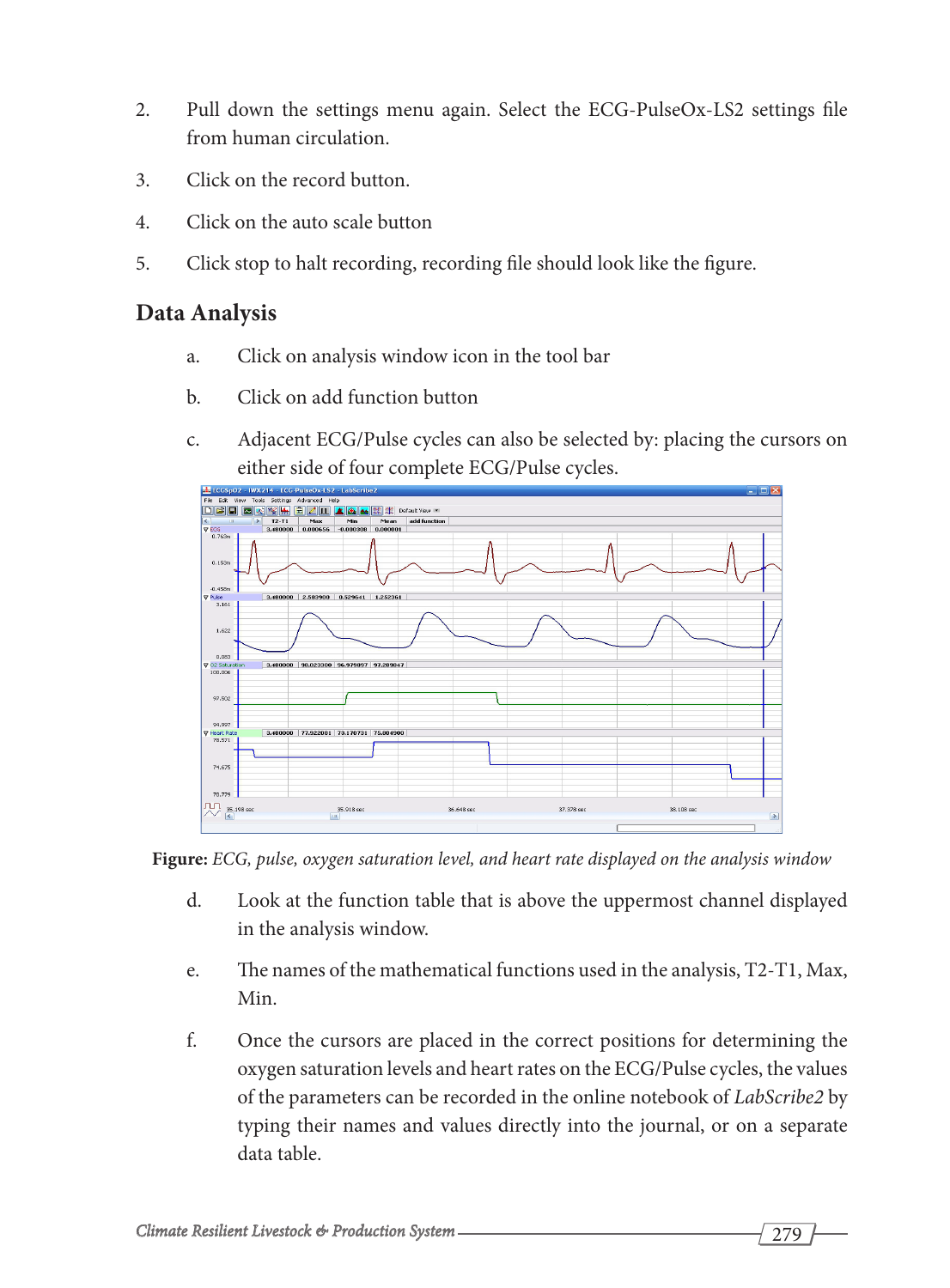- 2. Pull down the settings menu again. Select the ECG-PulseOx-LS2 settings file from human circulation.
- 3. Click on the record button.
- 4. Click on the auto scale button
- 5. Click stop to halt recording, recording file should look like the figure.

#### **Data Analysis**

- a. Click on analysis window icon in the tool bar
- b. Click on add function button
- c. Adjacent ECG/Pulse cycles can also be selected by: placing the cursors on either side of four complete ECG/Pulse cycles.





- d. Look at the function table that is above the uppermost channel displayed in the analysis window.
- e. The names of the mathematical functions used in the analysis, T2-T1, Max, Min.
- f. Once the cursors are placed in the correct positions for determining the oxygen saturation levels and heart rates on the ECG/Pulse cycles, the values of the parameters can be recorded in the online notebook of *LabScribe2* by typing their names and values directly into the journal, or on a separate data table.